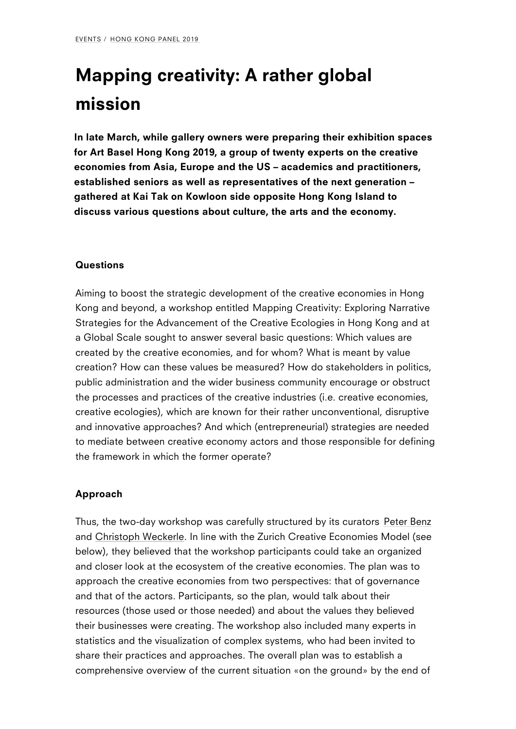# [Ma](/events/)[pping c](/events/hong-kong-panel-2019/)reativity: A rather global mission

In late March, while gallery owners were preparing their exhibiti for Art Basel Hong Kong 2019, a group of twenty experts on the economies from Asia, Europe and the US academics and practiestablished seniors as well as representatives of the next gener gathered at Kai Tak on Kowloon side opposite Hong Kong Island discuss various questions about culture, the arts and the economy.

#### Questions

Aiming to boost the strategic development of the creative economies Kong and beyond, a worksMhapppienngtiClreedativity: Exploring Narrative Strategies for the Advancement of the Creative Ecologies in Hor a Global Sscaught to answer several basic questions: Which value created by the creative economies, and for whom? What is mean creation? How can these values be measured? How do stakehold public administration and the wider business community encoura the processes and practices of the creative industries (i.e. crea creative ecologies), which are known for their rather unconventi and innovative approaches? And which (entrepreneurial) strateg to mediate between creative economy actors and those responsi the framework in which the former operate?

### Approach

Thus, the two-day workshop was carefully spPeutcetureBenaby its curat and hristoph Wecknerlliene with the Zurich Creative Economies Mod below), they believed that the workshop participants could take and closer look at the ecosystem of the cre[ative e](http://ava.hkbu.edu.hk/people/mr-peter-benz/)conomies. The ap[proach the cr](http://www.creativeeconomies.com/people/)eative economies from two perspectives: that of and that of the actors. Participants, so the plan, would talk abo resources (those used or those needed) and about the values th their businesses were creating. The workshop also included man statistics and the visualization of complex systems, who had be share their practices and approaches. The overall plan was to e comprehensive overview of the current situation «on the ground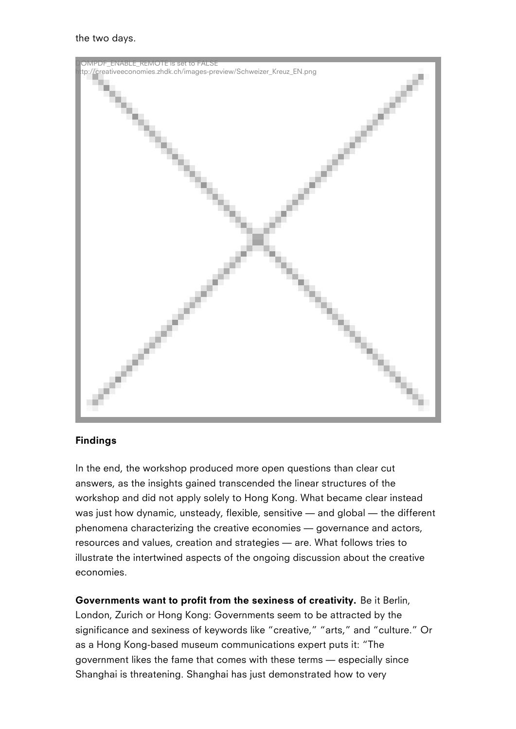the two days.



## Findings

In the end, the workshop produced more open questions than clear cut answers, as the insights gained transcended the linear structures of the workshop and did not apply solely to Hong Kong. What became clear instead was just how dynamic, unsteady, flexible, sensitive — and global — the different phenomena characterizing the creative economies — governance and actors, resources and values, creation and strategies — are. What follows tries to illustrate the intertwined aspects of the ongoing discussion about the creative economies.

Governments want to profit from the sexiness of creativity. Be it Berlin, London, Zurich or Hong Kong: Governments seem to be attracted by the significance and sexiness of keywords like "creative," "arts," and "culture." Or as a Hong Kong-based museum communications expert puts it: "The government likes the fame that comes with these terms — especially since Shanghai is threatening. Shanghai has just demonstrated how to very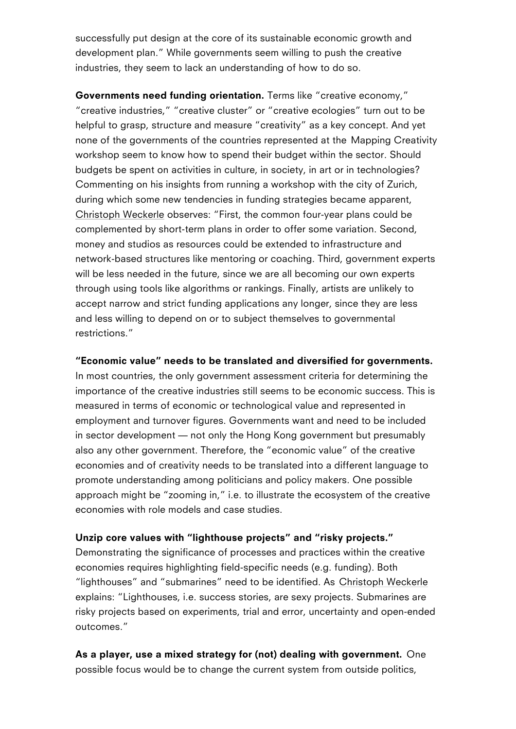development plan. While governments seem willing to push the industries, they seem to lack an understanding of how to do so.

Governments need funding oTreemtsatlike. creative economy, creative industries, creative cluster or creative ecologies t helpful to grasp, structure and measure creativity as a key con none of the governments of the countrieMsaprepioners Geneteat divaity the workshospeem to know how to spend their budget within the sector budgets be spent on activities in culture, in society, in art or in Commenting on his insights from running a workshop with the ci during which some new tendencies in funding strategies became Christoph We chose eves: First, the common four-year plans could complemented by short-term plans in order to offer some variati money and studios as resources could be extended to infrastruc [network-base](http://www.creativeeconomies.com/people/)d structures like mentoring or coaching. Third, gov will be less needed in the future, since we are all becoming our through using tools like algorithms or rankings. Finally, artists accept narrow and strict funding applications any longer, since and less willing to depend on or to subject themselves to govern restrictions.

Economic value needs to be translated and diversified for governments. In most countries, the only government assessment criteria for  $d$ importance of the creative industries still seems to be economic measured in terms of economic or technological value and repre employment and turnover figures. Governments want and need to in sector development not only the Hong Kong government but also any other government. Therefore, the economic value of t economies and of creativity needs to be translated into a differe promote understanding among politicians and policy makers. One approach might be zooming in, i.e. to illustrate the ecosystem economies with role models and case studies.

Unzip core values with lighthouse projects and risky projects. Demonstrating the significance of processes and practices withi economies requires highlighting field-specific needs (e.g. funding). lighthouses and submarines need toChbiestiodpehm tWreecoker Alse explains: Lighthouses, i.e. success stories, are sexy projects. risky projects based on experiments, trial and error, uncertainty outcomes.

As a player, use a mixed strategy for (not) dealing with governm possible focus would be to change the current system from outs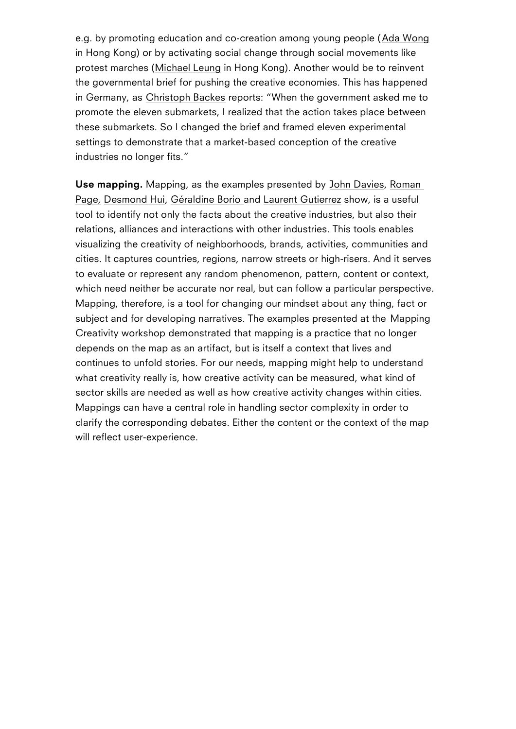in Hong Kong) or by activating social change through social mov protest mar**Mhes**ael Leunneong Kong). Another would be to reinve the governmental brief for pushing the cre[ative ec](https://www.ourhkfoundation.org.hk/en/node/1170)onomies. This in German  $Q$ , h  $m$  is to ph Bare k persual state when the government asked me to promote th[e eleven s](https://studioleung.com/)ubmarkets, I realized that the action takes these submarkets. So I changed the brief and framed eleven exp settings t[o demonstra](https://kreativ-bund.de/team/christoph-backes)te that a market-based conception of the c industries no longer fits.

#### Use mappindapping, as the examples JoornenseDhat, eRdeolsnyan

PageD, esmond, Beiraldine Boodiaurent Gutischrowz is a useful tool to identify not only the facts about the creative industries, relations, alliances and interaction[s with ot](https://www.nesta.org.uk/team/john-davies/)[her in](http://www.creativeeconomies.com/people/)dustries. This [visu](http://www.creativeeconomies.com/people/)[alizing t](https://www.wipo.int/meetings/en/2007/ip_ind_ge/bio/hui.html)[he creativit](https://www.arch.hku.hk/staff/arch/borio-geraldine/)y [of neighborh](https://www.sd.polyu.edu.hk/en/meet-our-staff/laurentgutierrez)oods, brands, activities, or cities. It captures countries, regions, narrow streets or high-ris to evaluate or represent any random phenomenon, pattern, conte which need neither be accurate nor real, but can follow a partic Mapping, therefore, is a tool for changing our mindset about any subject and for developing narratives. The eMappies presented at Creativity words monstrated that mapping is a practice that no lo depends on the map as an artifact, but is itself a context that li continues to unfold stories. For our needs, mapping might help what creativity really is, how creative activity can be measured, sector skills are needed as well as how creative activity change Mappings can have a central role in handling sector complexity clarify the corresponding debates. Either the content or the con will reflect user-experience.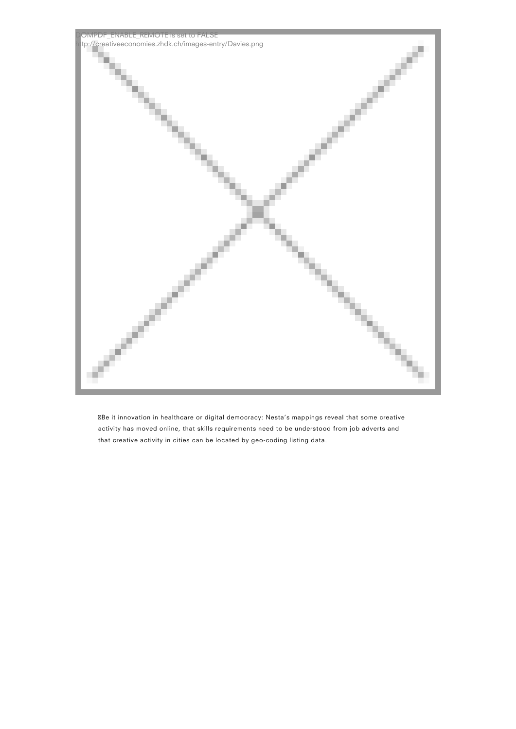

Be it innovation in healthcare or digital democracy: Nesta's mappings reveal that some creative activity has moved online, that skills requirements need to be understood from job adverts and that creative activity in cities can be located by geo-coding listing data.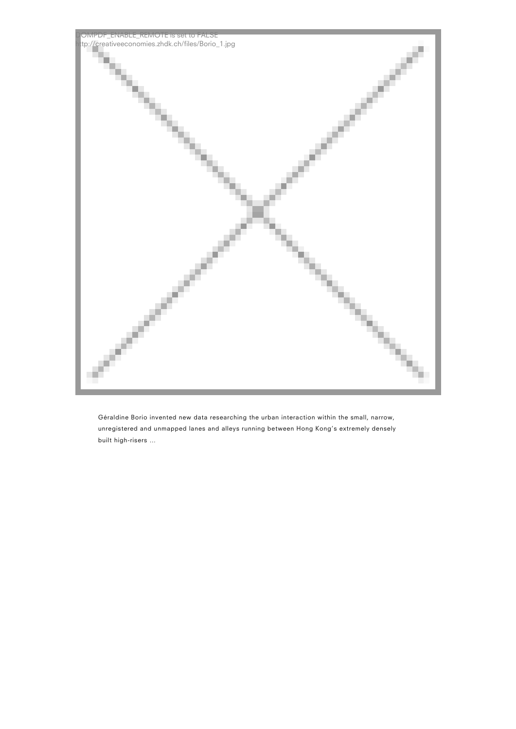

Géraldine Borio invented new data researching the urban interaction within the small, narrow, unregistered and unmapped lanes and alleys running between Hong Kong's extremely densely built high-risers …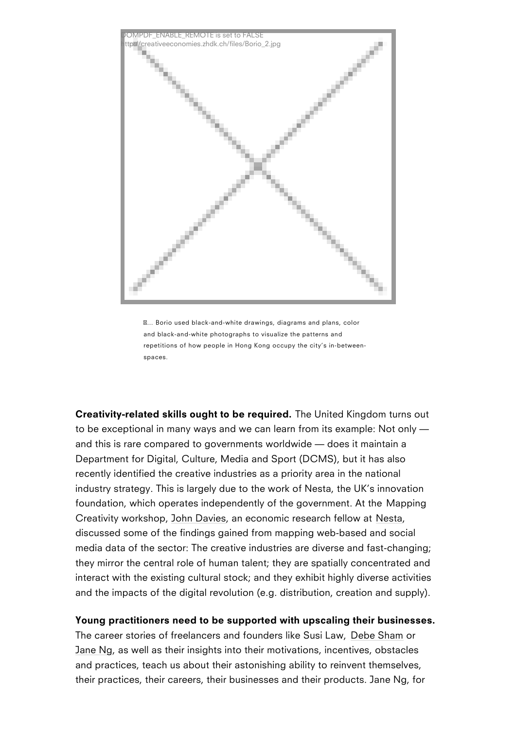& Borio used black-and-white drawings, diagrams and plans, color and black-and-white photographs to visualize the patterns and repetitions of how people in Hong Kong occupy the city s in-between spaces.

Creativity-related skills ought to hibe Uneique drekding dom turns out to be exceptional in many ways and we can learn from its examp and this is rare compared to governments worldwide does it ma Department for Digital, Culture, Media and Sport (DCMS), but it recently identified the creative industries as a priority area in t industry strategy. This is largely due to the work of Nesta, the foundation, which operates independently of Mtahpep grogy ernment. At Creativity wo, relation  $D$  a, view seconomic researd the steal ow at discussed some of the findings gained from mapping web-based media data of the sector: The creative industries are diverse an they mirror t[he centra](https://www.nesta.org.uk/team/john-davies/)l role of human tale[nt; t](https://www.nesta.org.uk/)hey are spatially of interact with the existing cultural stock; and they exhibit highly and the impacts of the digital revolution (e.g. distribution, crea

Young practitioners need to be supported with upscaling their b The career stories of freelancers and fDebeeSshamke Susi Law, Jane Ngs well as their insights into their motivations, incentive and practices, teach us about their astonishing ability to reinve their practices, their careers, their bu[sinesses](http://www.debesham.com/about) and their produc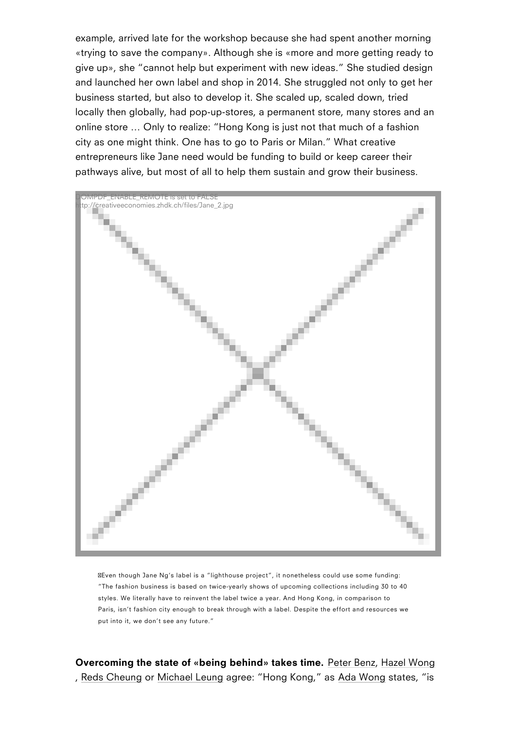«trying to save the company». Although she is «more and more give up», she cannot help but experiment with new ideas. She and launched her own label and shop in 2014. She struggled not business started, but also to develop it. She scaled up, scaled locally then globally, had pop-up-stores, a permanent store, ma online store & Only to realize: Hong Kong is just not that much city as one might think. One has to go to Paris or Milan. What entrepreneurs like Jane need would be funding to build or keep pathways alive, but most of all to help them sustain and grow th

DOMPDF\_ENABLE\_REMOTE is set to FALSE http://creativeeconomies.zhdk.ch/files/Jane\_2.jpg

Even though Jane Ng s label is a lighthouse project, it nonetheless could use so The fashion business is based on twice-yearly shows of upcoming collections inclu styles. We literally have to reinvent the label twice a year. And Hong Kong, in com Paris, isn t fashion city enough to break through with a label. Despite the effort ar put into it, we don t see any future.

Overcoming the state of «being behiPhedt» ertaBkeekmaszteilm Ye.ong , Reds CheonMgichael Leaugnrgee: Hong KoAndga, Waosnstgates, is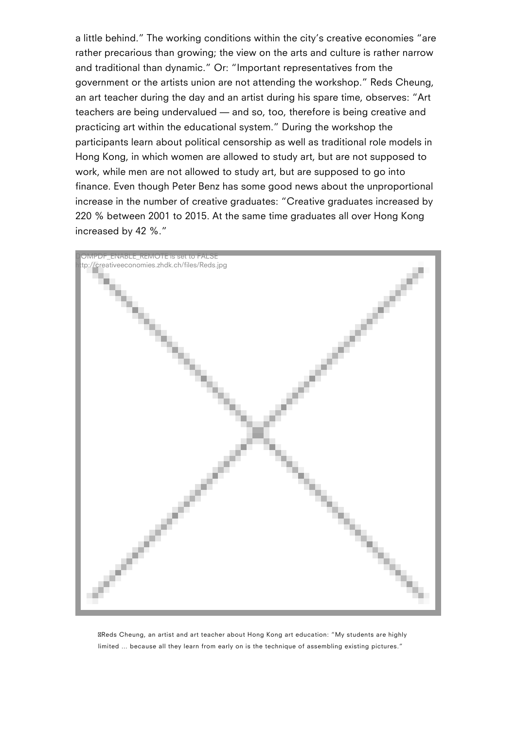a little behind." The working conditions within the city's creative economies "are rather precarious than growing; the view on the arts and culture is rather narrow and traditional than dynamic." Or: "Important representatives from the government or the artists union are not attending the workshop." Reds Cheung, an art teacher during the day and an artist during his spare time, observes: "Art teachers are being undervalued — and so, too, therefore is being creative and practicing art within the educational system." During the workshop the participants learn about political censorship as well as traditional role models in Hong Kong, in which women are allowed to study art, but are not supposed to work, while men are not allowed to study art, but are supposed to go into finance. Even though Peter Benz has some good news about the unproportional increase in the number of creative graduates: "Creative graduates increased by 220 % between 2001 to 2015. At the same time graduates all over Hong Kong increased by 42 %."



Reds Cheung, an artist and art teacher about Hong Kong art education: "My students are highly limited … because all they learn from early on is the technique of assembling existing pictures."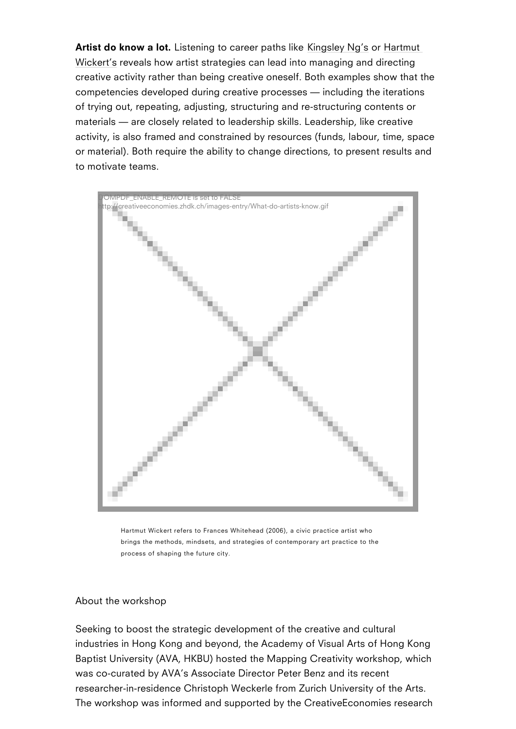Artist do know Laishtoetning to careerKipmagths l $\operatorname{Sel}_N$  as  $\operatorname{H}_N$  and  $\operatorname{Rel}_N$ Wickert esveals how artist strategies can lead into managing and creative activity rather than being creative oneself. Both examp competencies developed during [creative p](https://www.kingsleyng.com/wp/)r[ocesse](https://www.zhdk.ch/person/151106)s including the [of try](https://www.zhdk.ch/person/151106)ing out, repeating, adjusting, structuring and re-structurin materials are closely related to leadership skills. Leadership, activity, is also framed and constrained by resources (funds, la or material). Both require the ability to change directions, to pr to motivate teams.

DOMPDF\_ENABLE\_REMOTE is set to FALSE http://creativeeconomies.zhdk.ch/images-entry/What-do-artists-know.gif

Hartmut Wickert refers to Frances Whitehead (2006), a civic practice artist who brings the methods, mindsets, and strategies of contemporary art practice to the process of shaping the future city.

About the workshop

Seeking to boost the strategic development of the creative and industries in Hong Kong and beyond, the Academy of Visual Arts Baptist University (AVA, HKBU) hosted the Mapping Creativity w was co-curated by AVA s Associate Director Peter Benz and its researcher-in-residence Christoph Weckerle from Zurich Univers The workshop was informed and supported by the CreativeEcono